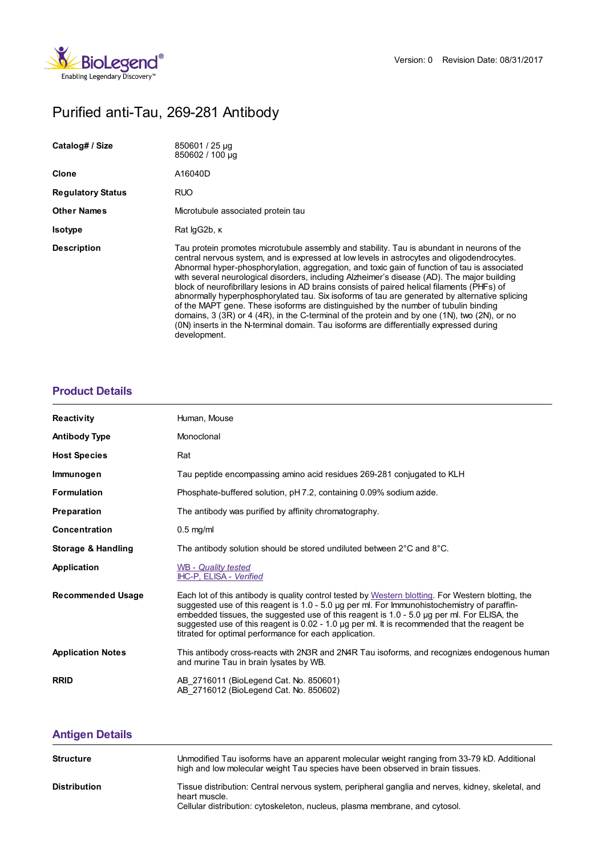

# Purified anti-Tau, 269-281 Antibody

| Catalog# / Size          | 850601 / 25 µg<br>850602 / 100 µg                                                                                                                                                                                                                                                                                                                                                                                                                                                                                                                                                                                                                                                                                                                                                                                                                                                          |
|--------------------------|--------------------------------------------------------------------------------------------------------------------------------------------------------------------------------------------------------------------------------------------------------------------------------------------------------------------------------------------------------------------------------------------------------------------------------------------------------------------------------------------------------------------------------------------------------------------------------------------------------------------------------------------------------------------------------------------------------------------------------------------------------------------------------------------------------------------------------------------------------------------------------------------|
| Clone                    | A16040D                                                                                                                                                                                                                                                                                                                                                                                                                                                                                                                                                                                                                                                                                                                                                                                                                                                                                    |
| <b>Regulatory Status</b> | <b>RUO</b>                                                                                                                                                                                                                                                                                                                                                                                                                                                                                                                                                                                                                                                                                                                                                                                                                                                                                 |
| Other Names              | Microtubule associated protein tau                                                                                                                                                                                                                                                                                                                                                                                                                                                                                                                                                                                                                                                                                                                                                                                                                                                         |
| Isotype                  | Rat lgG2b, K                                                                                                                                                                                                                                                                                                                                                                                                                                                                                                                                                                                                                                                                                                                                                                                                                                                                               |
| <b>Description</b>       | Tau protein promotes microtubule assembly and stability. Tau is abundant in neurons of the<br>central nervous system, and is expressed at low levels in astrocytes and oligodendrocytes.<br>Abnormal hyper-phosphorylation, aggregation, and toxic gain of function of tau is associated<br>with several neurological disorders, including Alzheimer's disease (AD). The major building<br>block of neurofibrillary lesions in AD brains consists of paired helical filaments (PHFs) of<br>abnormally hyperphosphorylated tau. Six isoforms of tau are generated by alternative splicing<br>of the MAPT gene. These isoforms are distinguished by the number of tubulin binding<br>domains, 3 (3R) or 4 (4R), in the C-terminal of the protein and by one (1N), two (2N), or no<br>(0N) inserts in the N-terminal domain. Tau isoforms are differentially expressed during<br>development. |

## **[Product](https://www.biolegend.com/it-it/products/purified-anti-tau-269-281-antibody-14880?pdf=true&displayInline=true&leftRightMargin=15&topBottomMargin=15&filename=Purified anti-Tau, 269-281  Antibody.pdf#productDetails) Details**

| <b>Reactivity</b>        | Human, Mouse                                                                                                                                                                                                                                                                                                                                                                                                                                                  |
|--------------------------|---------------------------------------------------------------------------------------------------------------------------------------------------------------------------------------------------------------------------------------------------------------------------------------------------------------------------------------------------------------------------------------------------------------------------------------------------------------|
| <b>Antibody Type</b>     | Monoclonal                                                                                                                                                                                                                                                                                                                                                                                                                                                    |
| <b>Host Species</b>      | Rat                                                                                                                                                                                                                                                                                                                                                                                                                                                           |
| Immunogen                | Tau peptide encompassing amino acid residues 269-281 conjugated to KLH                                                                                                                                                                                                                                                                                                                                                                                        |
| <b>Formulation</b>       | Phosphate-buffered solution, pH 7.2, containing 0.09% sodium azide.                                                                                                                                                                                                                                                                                                                                                                                           |
| Preparation              | The antibody was purified by affinity chromatography.                                                                                                                                                                                                                                                                                                                                                                                                         |
| <b>Concentration</b>     | $0.5$ mg/ml                                                                                                                                                                                                                                                                                                                                                                                                                                                   |
| Storage & Handling       | The antibody solution should be stored undiluted between 2°C and 8°C.                                                                                                                                                                                                                                                                                                                                                                                         |
| Application              | WB - Quality tested<br>IHC-P, ELISA - Verified                                                                                                                                                                                                                                                                                                                                                                                                                |
| <b>Recommended Usage</b> | Each lot of this antibody is quality control tested by Western blotting. For Western blotting, the<br>suggested use of this reagent is $1.0 - 5.0$ µg per ml. For Immunohistochemistry of paraffin-<br>embedded tissues, the suggested use of this reagent is 1.0 - 5.0 µg per ml. For ELISA, the<br>suggested use of this reagent is $0.02 - 1.0$ µg per ml. It is recommended that the reagent be<br>titrated for optimal performance for each application. |
| <b>Application Notes</b> | This antibody cross-reacts with 2N3R and 2N4R Tau isoforms, and recognizes endogenous human<br>and murine Tau in brain lysates by WB.                                                                                                                                                                                                                                                                                                                         |
| <b>RRID</b>              | AB 2716011 (BioLegend Cat. No. 850601)<br>AB 2716012 (BioLegend Cat. No. 850602)                                                                                                                                                                                                                                                                                                                                                                              |

# **[Antigen](https://www.biolegend.com/it-it/products/purified-anti-tau-269-281-antibody-14880?pdf=true&displayInline=true&leftRightMargin=15&topBottomMargin=15&filename=Purified anti-Tau, 269-281  Antibody.pdf#antigenDetails) Details**

| <b>Structure</b>    | Unmodified Tau isoforms have an apparent molecular weight ranging from 33-79 kD. Additional<br>high and low molecular weight Tau species have been observed in brain tissues.                     |
|---------------------|---------------------------------------------------------------------------------------------------------------------------------------------------------------------------------------------------|
| <b>Distribution</b> | Tissue distribution: Central nervous system, peripheral ganglia and nerves, kidney, skeletal, and<br>heart muscle.<br>Cellular distribution: cytoskeleton, nucleus, plasma membrane, and cytosol. |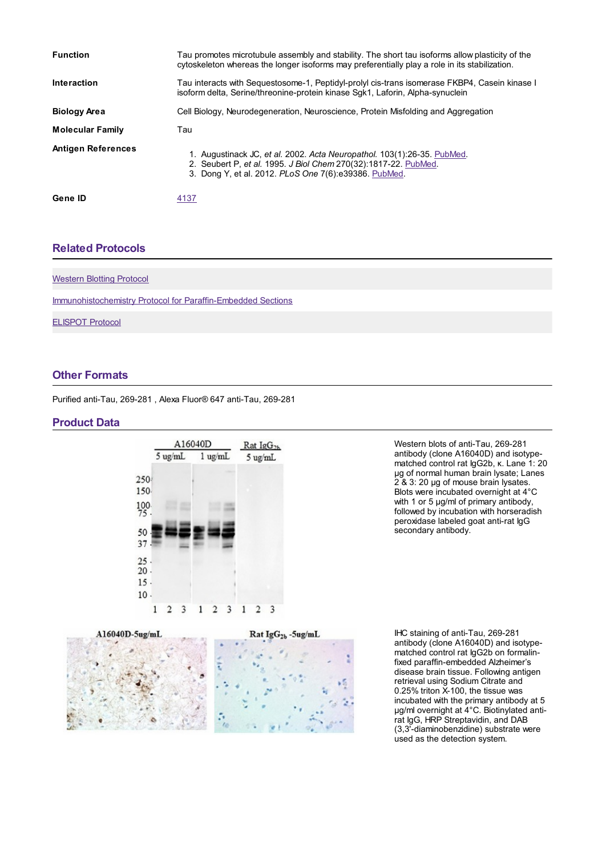| <b>Function</b>           | Tau promotes microtubule assembly and stability. The short tau isoforms allow plasticity of the<br>cytoskeleton whereas the longer isoforms may preferentially play a role in its stabilization.    |
|---------------------------|-----------------------------------------------------------------------------------------------------------------------------------------------------------------------------------------------------|
| <b>Interaction</b>        | Tau interacts with Sequestosome-1, Peptidyl-prolyl cis-trans isomerase FKBP4, Casein kinase I<br>isoform delta, Serine/threonine-protein kinase Sgk1, Laforin, Alpha-synuclein                      |
| <b>Biology Area</b>       | Cell Biology, Neurodegeneration, Neuroscience, Protein Misfolding and Aggregation                                                                                                                   |
| <b>Molecular Family</b>   | Tau                                                                                                                                                                                                 |
| <b>Antigen References</b> | 1. Augustinack JC, et al. 2002. Acta Neuropathol. 103(1):26-35. PubMed.<br>2. Seubert P, et al. 1995. J Biol Chem 270(32):1817-22. PubMed.<br>3. Dong Y, et al. 2012. PLoS One 7(6):e39386. PubMed. |
| Gene ID                   | 4137                                                                                                                                                                                                |

#### **Related [Protocols](https://www.biolegend.com/it-it/products/purified-anti-tau-269-281-antibody-14880?pdf=true&displayInline=true&leftRightMargin=15&topBottomMargin=15&filename=Purified anti-Tau, 269-281  Antibody.pdf#productRelatedProtocols)**

| <b>Western Blotting Protocol</b>                                    |  |
|---------------------------------------------------------------------|--|
| <b>Immunohistochemistry Protocol for Paraffin-Embedded Sections</b> |  |
| <b>ELISPOT Protocol</b>                                             |  |
|                                                                     |  |

## **Other [Formats](https://www.biolegend.com/it-it/products/purified-anti-tau-269-281-antibody-14880?pdf=true&displayInline=true&leftRightMargin=15&topBottomMargin=15&filename=Purified anti-Tau, 269-281  Antibody.pdf#productOtherFormats)**

Purified anti-Tau, 269-281 , Alexa Fluor® 647 anti-Tau, 269-281

#### **Product Data**



Western blots of anti-Tau, 269-281 antibody (clone A16040D) and isotypematched control rat IgG2b, κ. Lane 1: 20 µg of normal human brain lysate; Lanes 2 & 3: 20 µg of mouse brain lysates. Blots were incubated overnight at 4°C with 1 or 5 µg/ml of primary antibody, followed by incubation with horseradish peroxidase labeled goat anti-rat IgG secondary antibody.



IHC staining of anti-Tau, 269-281 antibody (clone A16040D) and isotypematched control rat IgG2b on formalinfixed paraffin-embedded Alzheimer's disease brain tissue. Following antigen retrieval using Sodium Citrate and 0.25% triton X-100, the tissue was incubated with the primary antibody at 5 µg/ml overnight at 4°C. Biotinylated antirat IgG, HRP Streptavidin, and DAB (3,3'-diaminobenzidine) substrate were used as the detection system.